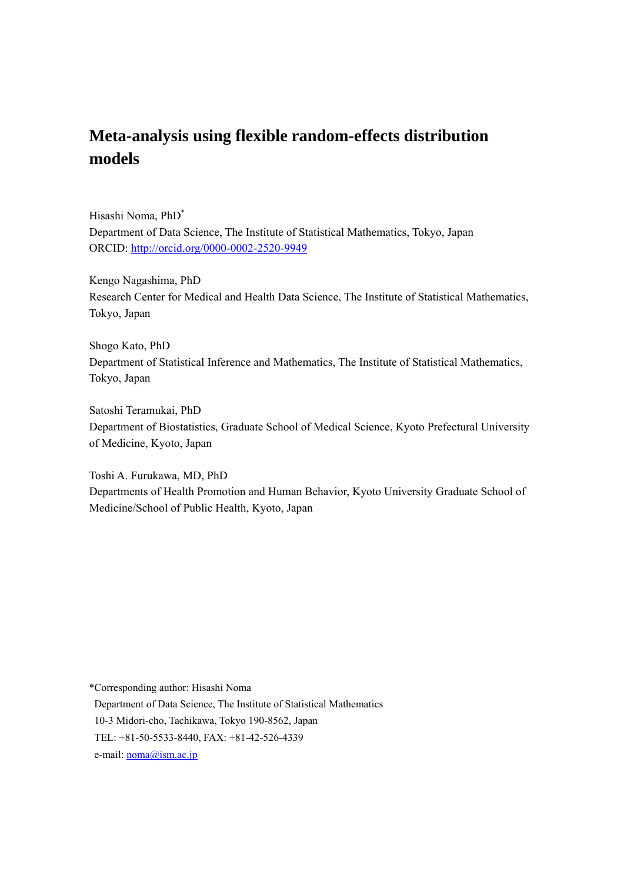# **Meta-analysis using flexible random-effects distribution models**

Hisashi Noma, PhD\* Department of Data Science, The Institute of Statistical Mathematics, Tokyo, Japan ORCID: http://orcid.org/0000-0002-2520-9949

Kengo Nagashima, PhD Research Center for Medical and Health Data Science, The Institute of Statistical Mathematics, Tokyo, Japan

Shogo Kato, PhD Department of Statistical Inference and Mathematics, The Institute of Statistical Mathematics, Tokyo, Japan

Satoshi Teramukai, PhD Department of Biostatistics, Graduate School of Medical Science, Kyoto Prefectural University of Medicine, Kyoto, Japan

Toshi A. Furukawa, MD, PhD Departments of Health Promotion and Human Behavior, Kyoto University Graduate School of Medicine/School of Public Health, Kyoto, Japan

\*Corresponding author: Hisashi Noma Department of Data Science, The Institute of Statistical Mathematics 10-3 Midori-cho, Tachikawa, Tokyo 190-8562, Japan TEL: +81-50-5533-8440, FAX: +81-42-526-4339

e-mail: noma@ism.ac.jp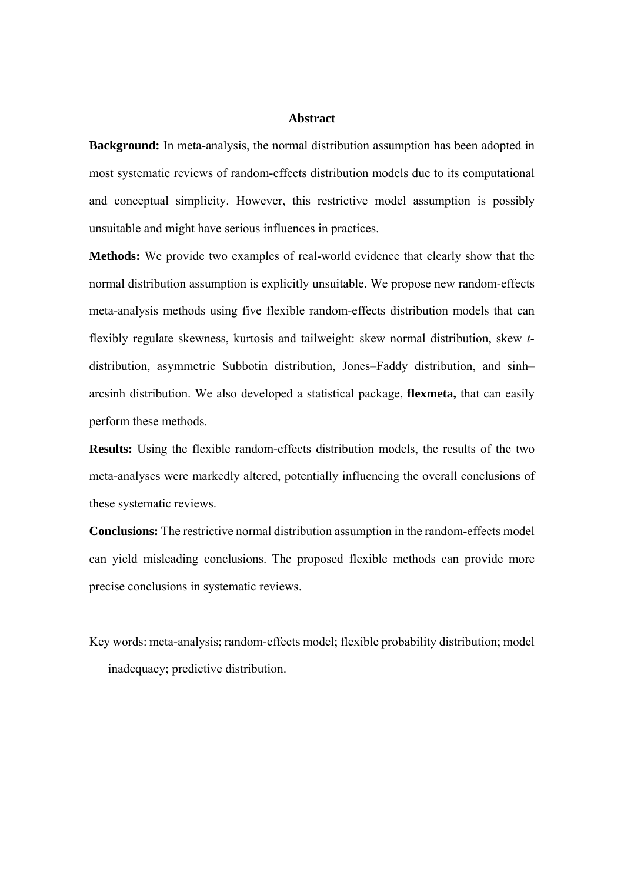# **Abstract**

**Background:** In meta-analysis, the normal distribution assumption has been adopted in most systematic reviews of random-effects distribution models due to its computational and conceptual simplicity. However, this restrictive model assumption is possibly unsuitable and might have serious influences in practices.

**Methods:** We provide two examples of real-world evidence that clearly show that the normal distribution assumption is explicitly unsuitable. We propose new random-effects meta-analysis methods using five flexible random-effects distribution models that can flexibly regulate skewness, kurtosis and tailweight: skew normal distribution, skew *t*distribution, asymmetric Subbotin distribution, Jones–Faddy distribution, and sinh– arcsinh distribution. We also developed a statistical package, **flexmeta,** that can easily perform these methods.

**Results:** Using the flexible random-effects distribution models, the results of the two meta-analyses were markedly altered, potentially influencing the overall conclusions of these systematic reviews.

**Conclusions:** The restrictive normal distribution assumption in the random-effects model can yield misleading conclusions. The proposed flexible methods can provide more precise conclusions in systematic reviews.

Key words: meta-analysis; random-effects model; flexible probability distribution; model inadequacy; predictive distribution.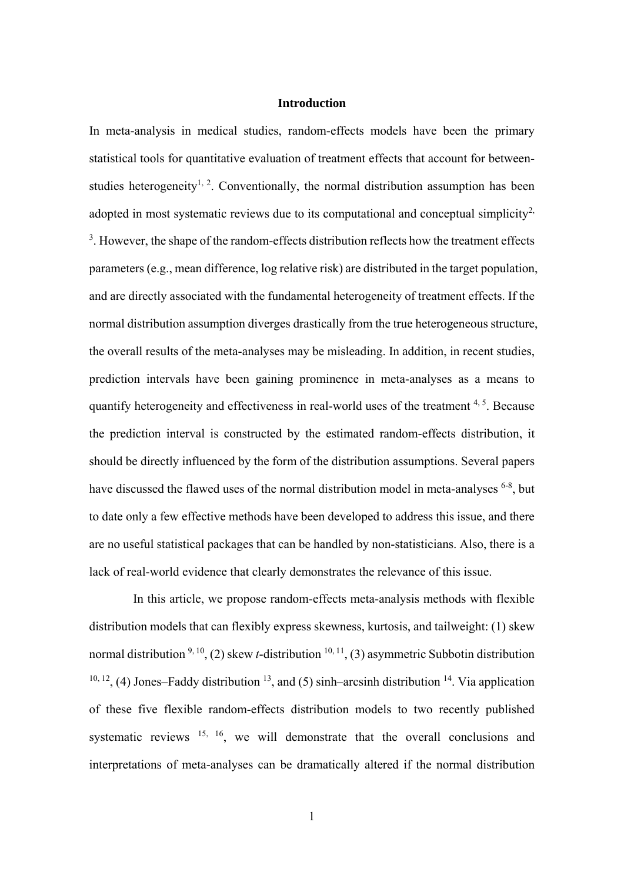### **Introduction**

In meta-analysis in medical studies, random-effects models have been the primary statistical tools for quantitative evaluation of treatment effects that account for betweenstudies heterogeneity<sup>1, 2</sup>. Conventionally, the normal distribution assumption has been adopted in most systematic reviews due to its computational and conceptual simplicity<sup>2,</sup>  $3$ . However, the shape of the random-effects distribution reflects how the treatment effects parameters (e.g., mean difference, log relative risk) are distributed in the target population, and are directly associated with the fundamental heterogeneity of treatment effects. If the normal distribution assumption diverges drastically from the true heterogeneous structure, the overall results of the meta-analyses may be misleading. In addition, in recent studies, prediction intervals have been gaining prominence in meta-analyses as a means to quantify heterogeneity and effectiveness in real-world uses of the treatment  $4, 5$ . Because the prediction interval is constructed by the estimated random-effects distribution, it should be directly influenced by the form of the distribution assumptions. Several papers have discussed the flawed uses of the normal distribution model in meta-analyses <sup>6-8</sup>, but to date only a few effective methods have been developed to address this issue, and there are no useful statistical packages that can be handled by non-statisticians. Also, there is a lack of real-world evidence that clearly demonstrates the relevance of this issue.

In this article, we propose random-effects meta-analysis methods with flexible distribution models that can flexibly express skewness, kurtosis, and tailweight: (1) skew normal distribution  $9, 10, 12$ , (2) skew *t*-distribution  $10, 11, 13$  asymmetric Subbotin distribution  $10, 12, (4)$  Jones–Faddy distribution  $13$ , and (5) sinh–arcsinh distribution  $14$ . Via application of these five flexible random-effects distribution models to two recently published systematic reviews  $15, 16$ , we will demonstrate that the overall conclusions and interpretations of meta-analyses can be dramatically altered if the normal distribution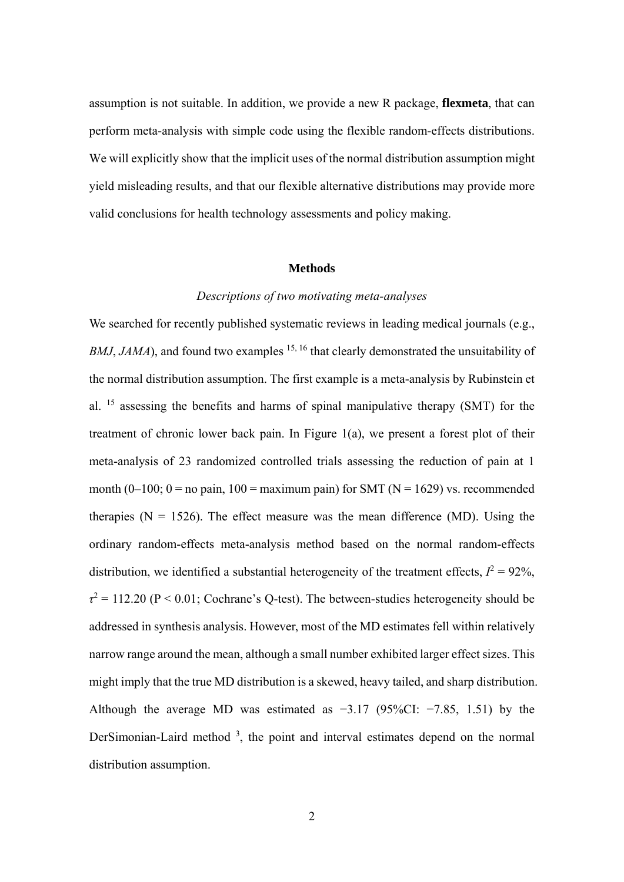assumption is not suitable. In addition, we provide a new R package, **flexmeta**, that can perform meta-analysis with simple code using the flexible random-effects distributions. We will explicitly show that the implicit uses of the normal distribution assumption might yield misleading results, and that our flexible alternative distributions may provide more valid conclusions for health technology assessments and policy making.

#### **Methods**

#### *Descriptions of two motivating meta-analyses*

We searched for recently published systematic reviews in leading medical journals (e.g., *BMJ*, *JAMA*), and found two examples <sup>15, 16</sup> that clearly demonstrated the unsuitability of the normal distribution assumption. The first example is a meta-analysis by Rubinstein et al. 15 assessing the benefits and harms of spinal manipulative therapy (SMT) for the treatment of chronic lower back pain. In Figure 1(a), we present a forest plot of their meta-analysis of 23 randomized controlled trials assessing the reduction of pain at 1 month (0–100; 0 = no pain, 100 = maximum pain) for SMT ( $N = 1629$ ) vs. recommended therapies ( $N = 1526$ ). The effect measure was the mean difference (MD). Using the ordinary random-effects meta-analysis method based on the normal random-effects distribution, we identified a substantial heterogeneity of the treatment effects,  $I^2 = 92\%$ ,  $\tau^2$  = 112.20 (P < 0.01; Cochrane's Q-test). The between-studies heterogeneity should be addressed in synthesis analysis. However, most of the MD estimates fell within relatively narrow range around the mean, although a small number exhibited larger effect sizes. This might imply that the true MD distribution is a skewed, heavy tailed, and sharp distribution. Although the average MD was estimated as  $-3.17$  (95%CI:  $-7.85$ , 1.51) by the DerSimonian-Laird method  $3$ , the point and interval estimates depend on the normal distribution assumption.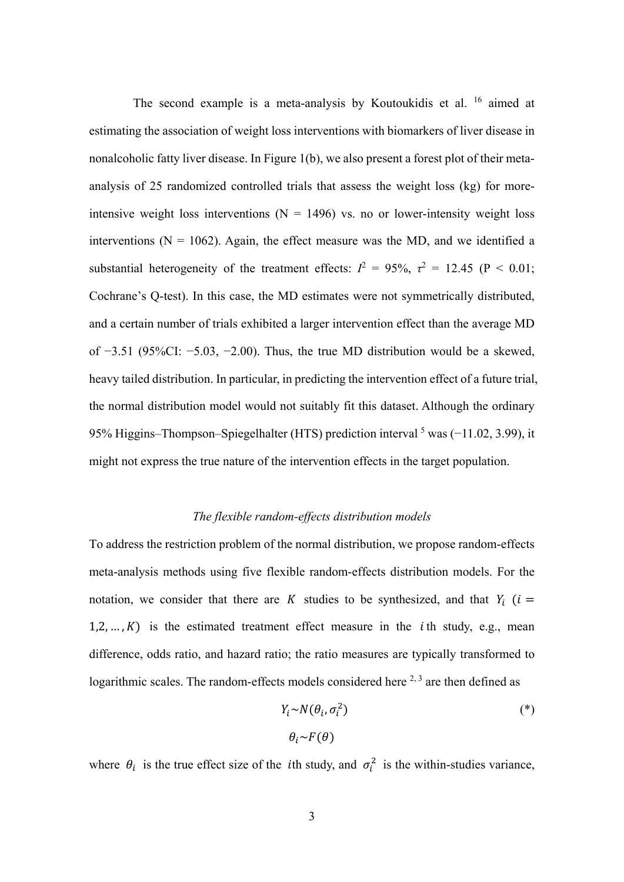The second example is a meta-analysis by Koutoukidis et al. 16 aimed at estimating the association of weight loss interventions with biomarkers of liver disease in nonalcoholic fatty liver disease. In Figure 1(b), we also present a forest plot of their metaanalysis of 25 randomized controlled trials that assess the weight loss (kg) for moreintensive weight loss interventions ( $N = 1496$ ) vs. no or lower-intensity weight loss interventions ( $N = 1062$ ). Again, the effect measure was the MD, and we identified a substantial heterogeneity of the treatment effects:  $I^2 = 95\%$ ,  $\tau^2 = 12.45$  (P < 0.01; Cochrane's Q-test). In this case, the MD estimates were not symmetrically distributed, and a certain number of trials exhibited a larger intervention effect than the average MD of −3.51 (95%CI: −5.03, −2.00). Thus, the true MD distribution would be a skewed, heavy tailed distribution. In particular, in predicting the intervention effect of a future trial, the normal distribution model would not suitably fit this dataset. Although the ordinary 95% Higgins–Thompson–Spiegelhalter (HTS) prediction interval <sup>5</sup> was (-11.02, 3.99), it might not express the true nature of the intervention effects in the target population.

#### *The flexible random-effects distribution models*

To address the restriction problem of the normal distribution, we propose random-effects meta-analysis methods using five flexible random-effects distribution models. For the notation, we consider that there are K studies to be synthesized, and that  $Y_i$  ( $i =$  $1, 2, ..., K$ ) is the estimated treatment effect measure in the *i*th study, e.g., mean difference, odds ratio, and hazard ratio; the ratio measures are typically transformed to logarithmic scales. The random-effects models considered here  $2,3$  are then defined as

$$
Y_i \sim N(\theta_i, \sigma_i^2) \tag{*}
$$

$$
\theta_i \sim F(\theta)
$$

where  $\theta_i$  is the true effect size of the *i*th study, and  $\sigma_i^2$  is the within-studies variance,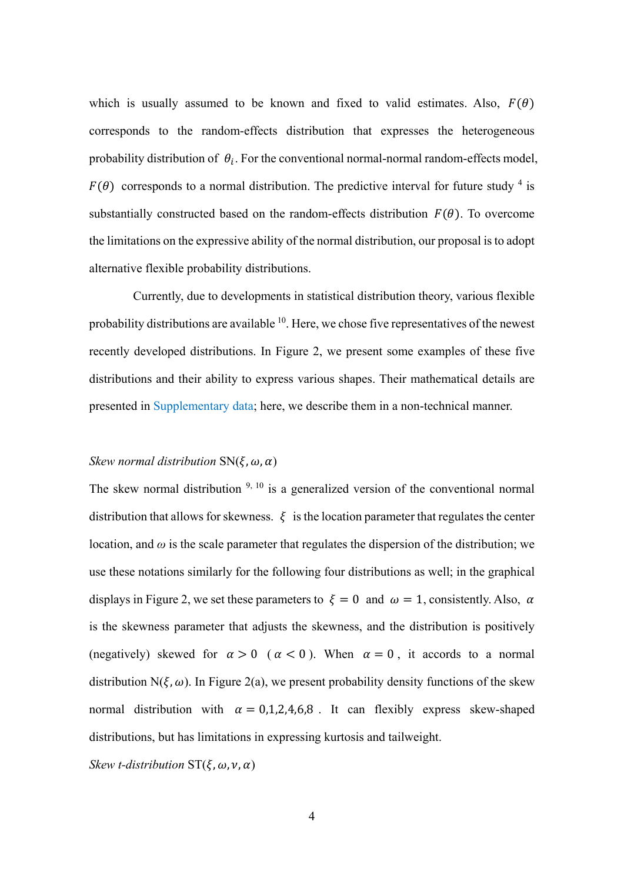which is usually assumed to be known and fixed to valid estimates. Also,  $F(\theta)$ corresponds to the random-effects distribution that expresses the heterogeneous probability distribution of  $\theta_i$ . For the conventional normal-normal random-effects model,  $F(\theta)$  corresponds to a normal distribution. The predictive interval for future study <sup>4</sup> is substantially constructed based on the random-effects distribution  $F(\theta)$ . To overcome the limitations on the expressive ability of the normal distribution, our proposal is to adopt alternative flexible probability distributions.

Currently, due to developments in statistical distribution theory, various flexible probability distributions are available <sup>10</sup>. Here, we chose five representatives of the newest recently developed distributions. In Figure 2, we present some examples of these five distributions and their ability to express various shapes. Their mathematical details are presented in Supplementary data; here, we describe them in a non-technical manner.

# *Skew normal distribution*  $SN(\xi, \omega, \alpha)$

The skew normal distribution  $9, 10$  is a generalized version of the conventional normal distribution that allows for skewness.  $\xi$  is the location parameter that regulates the center location, and  $\omega$  is the scale parameter that regulates the dispersion of the distribution; we use these notations similarly for the following four distributions as well; in the graphical displays in Figure 2, we set these parameters to  $\xi = 0$  and  $\omega = 1$ , consistently. Also,  $\alpha$ is the skewness parameter that adjusts the skewness, and the distribution is positively (negatively) skewed for  $\alpha > 0$  ( $\alpha < 0$ ). When  $\alpha = 0$ , it accords to a normal distribution N( $\xi, \omega$ ). In Figure 2(a), we present probability density functions of the skew normal distribution with  $\alpha = 0.1, 2, 4, 6, 8$ . It can flexibly express skew-shaped distributions, but has limitations in expressing kurtosis and tailweight.

*Skew t-distribution*  $ST(\xi, \omega, \nu, \alpha)$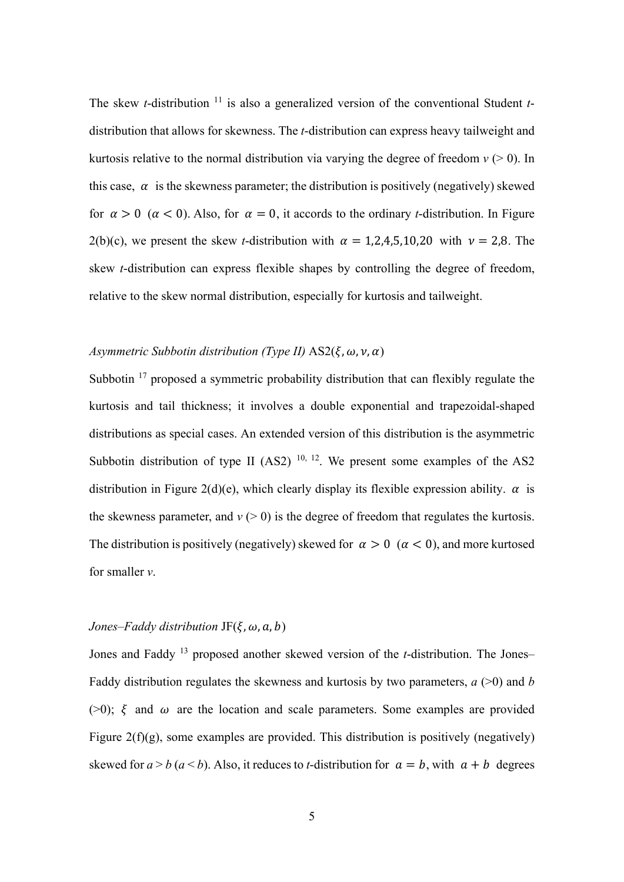The skew *t*-distribution <sup>11</sup> is also a generalized version of the conventional Student *t*distribution that allows for skewness. The *t*-distribution can express heavy tailweight and kurtosis relative to the normal distribution via varying the degree of freedom  $v \geq 0$ ). In this case,  $\alpha$  is the skewness parameter; the distribution is positively (negatively) skewed for  $\alpha > 0$  ( $\alpha < 0$ ). Also, for  $\alpha = 0$ , it accords to the ordinary *t*-distribution. In Figure 2(b)(c), we present the skew *t*-distribution with  $\alpha = 1,2,4,5,10,20$  with  $\nu = 2,8$ . The skew *t*-distribution can express flexible shapes by controlling the degree of freedom, relative to the skew normal distribution, especially for kurtosis and tailweight.

# *Asymmetric Subbotin distribution (Type II)*  $AS2(\xi, \omega, \nu, \alpha)$

Subbotin  $17$  proposed a symmetric probability distribution that can flexibly regulate the kurtosis and tail thickness; it involves a double exponential and trapezoidal-shaped distributions as special cases. An extended version of this distribution is the asymmetric Subbotin distribution of type II  $(AS2)$  <sup>10, 12</sup>. We present some examples of the AS2 distribution in Figure 2(d)(e), which clearly display its flexible expression ability.  $\alpha$  is the skewness parameter, and  $v$  ( $>$  0) is the degree of freedom that regulates the kurtosis. The distribution is positively (negatively) skewed for  $\alpha > 0$  ( $\alpha < 0$ ), and more kurtosed for smaller *ν*.

#### *Jones–Faddy distribution*  $JF(\xi, \omega, a, b)$

Jones and Faddy 13 proposed another skewed version of the *t*-distribution. The Jones– Faddy distribution regulates the skewness and kurtosis by two parameters, *a* (>0) and *b* ( $>0$ );  $\xi$  and  $\omega$  are the location and scale parameters. Some examples are provided Figure  $2(f)(g)$ , some examples are provided. This distribution is positively (negatively) skewed for  $a > b$  ( $a < b$ ). Also, it reduces to *t*-distribution for  $a = b$ , with  $a + b$  degrees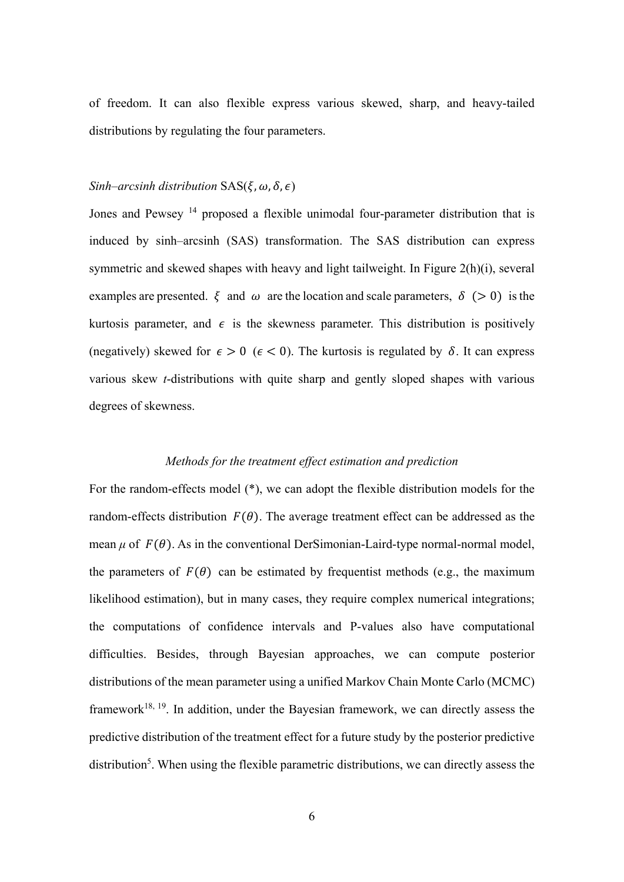of freedom. It can also flexible express various skewed, sharp, and heavy-tailed distributions by regulating the four parameters.

### *Sinh–arcsinh distribution*  $SAS(\xi, \omega, \delta, \epsilon)$

Jones and Pewsey <sup>14</sup> proposed a flexible unimodal four-parameter distribution that is induced by sinh–arcsinh (SAS) transformation. The SAS distribution can express symmetric and skewed shapes with heavy and light tailweight. In Figure 2(h)(i), several examples are presented.  $\xi$  and  $\omega$  are the location and scale parameters,  $\delta$  ( $> 0$ ) is the kurtosis parameter, and  $\epsilon$  is the skewness parameter. This distribution is positively (negatively) skewed for  $\epsilon > 0$  ( $\epsilon < 0$ ). The kurtosis is regulated by  $\delta$ . It can express various skew *t*-distributions with quite sharp and gently sloped shapes with various degrees of skewness.

# *Methods for the treatment effect estimation and prediction*

For the random-effects model (\*), we can adopt the flexible distribution models for the random-effects distribution  $F(\theta)$ . The average treatment effect can be addressed as the mean  $\mu$  of  $F(\theta)$ . As in the conventional DerSimonian-Laird-type normal-normal model, the parameters of  $F(\theta)$  can be estimated by frequentist methods (e.g., the maximum likelihood estimation), but in many cases, they require complex numerical integrations; the computations of confidence intervals and P-values also have computational difficulties. Besides, through Bayesian approaches, we can compute posterior distributions of the mean parameter using a unified Markov Chain Monte Carlo (MCMC) framework $18, 19$ . In addition, under the Bayesian framework, we can directly assess the predictive distribution of the treatment effect for a future study by the posterior predictive distribution<sup>5</sup>. When using the flexible parametric distributions, we can directly assess the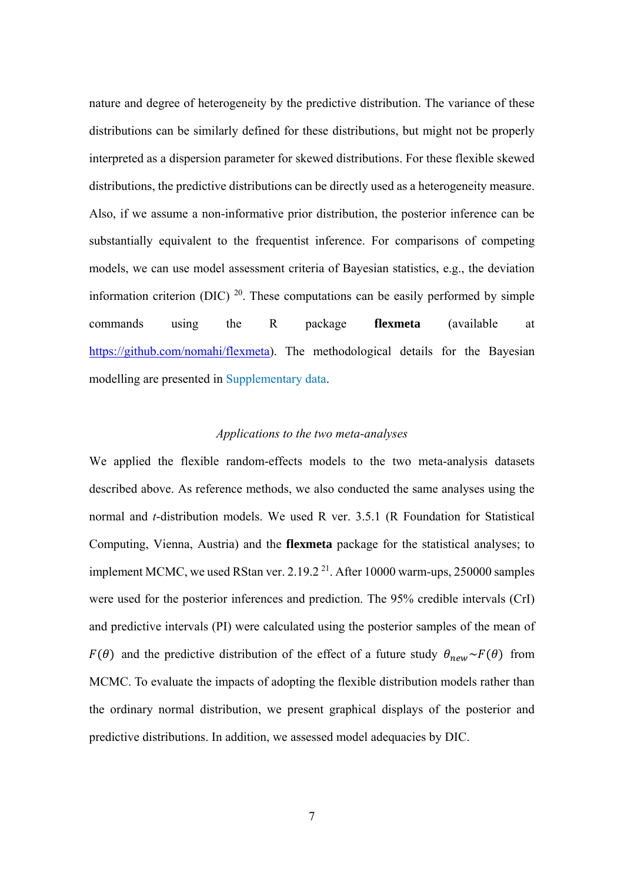nature and degree of heterogeneity by the predictive distribution. The variance of these distributions can be similarly defined for these distributions, but might not be properly interpreted as a dispersion parameter for skewed distributions. For these flexible skewed distributions, the predictive distributions can be directly used as a heterogeneity measure. Also, if we assume a non-informative prior distribution, the posterior inference can be substantially equivalent to the frequentist inference. For comparisons of competing models, we can use model assessment criteria of Bayesian statistics, e.g., the deviation information criterion (DIC)  $^{20}$ . These computations can be easily performed by simple commands using the R package **flexmeta** (available at https://github.com/nomahi/flexmeta). The methodological details for the Bayesian modelling are presented in Supplementary data.

### *Applications to the two meta-analyses*

We applied the flexible random-effects models to the two meta-analysis datasets described above. As reference methods, we also conducted the same analyses using the normal and *t*-distribution models. We used R ver. 3.5.1 (R Foundation for Statistical Computing, Vienna, Austria) and the **flexmeta** package for the statistical analyses; to implement MCMC, we used RStan ver. 2.19.2<sup>21</sup>. After 10000 warm-ups, 250000 samples were used for the posterior inferences and prediction. The 95% credible intervals (CrI) and predictive intervals (PI) were calculated using the posterior samples of the mean of  $F(\theta)$  and the predictive distribution of the effect of a future study  $\theta_{new} \sim F(\theta)$  from MCMC. To evaluate the impacts of adopting the flexible distribution models rather than the ordinary normal distribution, we present graphical displays of the posterior and predictive distributions. In addition, we assessed model adequacies by DIC.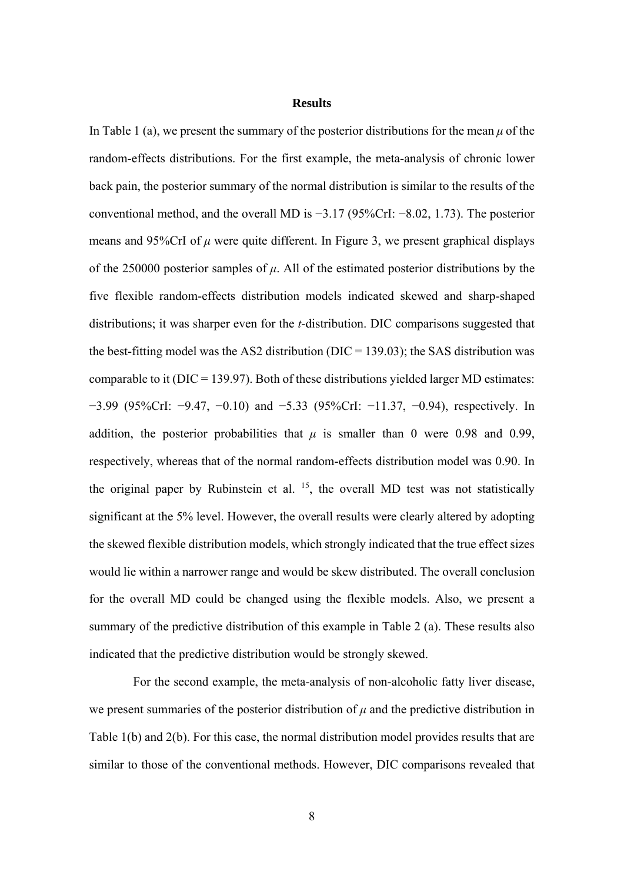#### **Results**

In Table 1 (a), we present the summary of the posterior distributions for the mean  $\mu$  of the random-effects distributions. For the first example, the meta-analysis of chronic lower back pain, the posterior summary of the normal distribution is similar to the results of the conventional method, and the overall MD is −3.17 (95%CrI: −8.02, 1.73). The posterior means and 95%CrI of  $\mu$  were quite different. In Figure 3, we present graphical displays of the 250000 posterior samples of *μ*. All of the estimated posterior distributions by the five flexible random-effects distribution models indicated skewed and sharp-shaped distributions; it was sharper even for the *t*-distribution. DIC comparisons suggested that the best-fitting model was the AS2 distribution ( $DIC = 139.03$ ); the SAS distribution was comparable to it ( $DIC = 139.97$ ). Both of these distributions yielded larger MD estimates: −3.99 (95%CrI: −9.47, −0.10) and −5.33 (95%CrI: −11.37, −0.94), respectively. In addition, the posterior probabilities that  $\mu$  is smaller than 0 were 0.98 and 0.99, respectively, whereas that of the normal random-effects distribution model was 0.90. In the original paper by Rubinstein et al.  $^{15}$ , the overall MD test was not statistically significant at the 5% level. However, the overall results were clearly altered by adopting the skewed flexible distribution models, which strongly indicated that the true effect sizes would lie within a narrower range and would be skew distributed. The overall conclusion for the overall MD could be changed using the flexible models. Also, we present a summary of the predictive distribution of this example in Table 2 (a). These results also indicated that the predictive distribution would be strongly skewed.

For the second example, the meta-analysis of non-alcoholic fatty liver disease, we present summaries of the posterior distribution of  $\mu$  and the predictive distribution in Table 1(b) and 2(b). For this case, the normal distribution model provides results that are similar to those of the conventional methods. However, DIC comparisons revealed that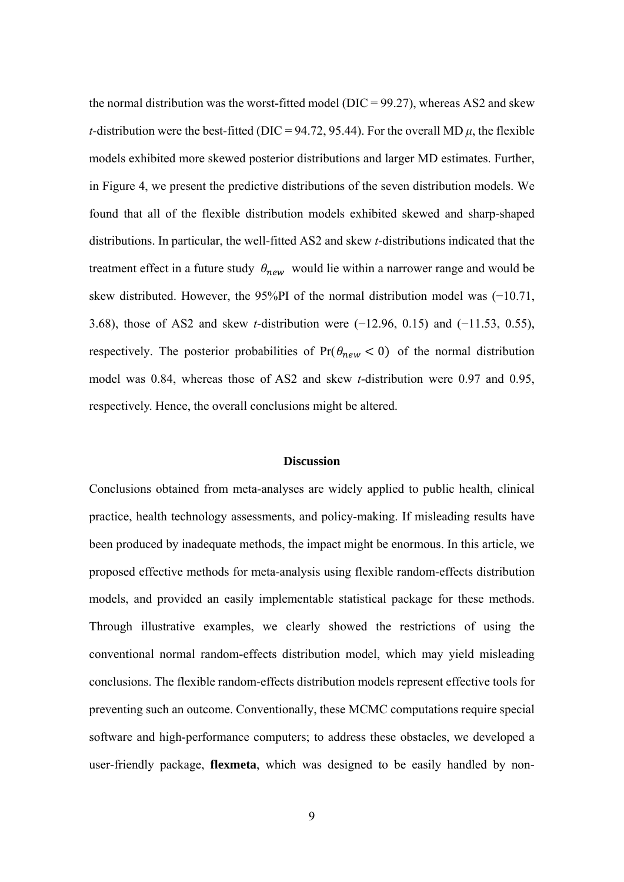the normal distribution was the worst-fitted model ( $DIC = 99.27$ ), whereas AS2 and skew *t*-distribution were the best-fitted (DIC = 94.72, 95.44). For the overall MD  $\mu$ , the flexible models exhibited more skewed posterior distributions and larger MD estimates. Further, in Figure 4, we present the predictive distributions of the seven distribution models. We found that all of the flexible distribution models exhibited skewed and sharp-shaped distributions. In particular, the well-fitted AS2 and skew *t*-distributions indicated that the treatment effect in a future study  $\theta_{new}$  would lie within a narrower range and would be skew distributed. However, the 95%PI of the normal distribution model was (−10.71, 3.68), those of AS2 and skew *t*-distribution were (−12.96, 0.15) and (−11.53, 0.55), respectively. The posterior probabilities of  $Pr(\theta_{new} < 0)$  of the normal distribution model was 0.84, whereas those of AS2 and skew *t*-distribution were 0.97 and 0.95, respectively. Hence, the overall conclusions might be altered.

#### **Discussion**

Conclusions obtained from meta-analyses are widely applied to public health, clinical practice, health technology assessments, and policy-making. If misleading results have been produced by inadequate methods, the impact might be enormous. In this article, we proposed effective methods for meta-analysis using flexible random-effects distribution models, and provided an easily implementable statistical package for these methods. Through illustrative examples, we clearly showed the restrictions of using the conventional normal random-effects distribution model, which may yield misleading conclusions. The flexible random-effects distribution models represent effective tools for preventing such an outcome. Conventionally, these MCMC computations require special software and high-performance computers; to address these obstacles, we developed a user-friendly package, **flexmeta**, which was designed to be easily handled by non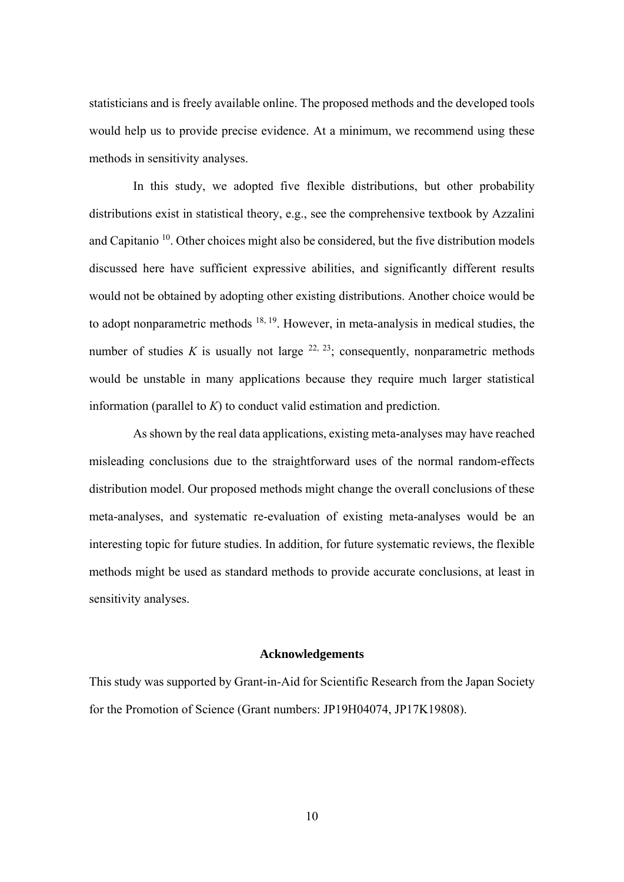statisticians and is freely available online. The proposed methods and the developed tools would help us to provide precise evidence. At a minimum, we recommend using these methods in sensitivity analyses.

In this study, we adopted five flexible distributions, but other probability distributions exist in statistical theory, e.g., see the comprehensive textbook by Azzalini and Capitanio  $10$ . Other choices might also be considered, but the five distribution models discussed here have sufficient expressive abilities, and significantly different results would not be obtained by adopting other existing distributions. Another choice would be to adopt nonparametric methods <sup>18, 19</sup>. However, in meta-analysis in medical studies, the number of studies *K* is usually not large  $^{22, 23}$ ; consequently, nonparametric methods would be unstable in many applications because they require much larger statistical information (parallel to *K*) to conduct valid estimation and prediction.

As shown by the real data applications, existing meta-analyses may have reached misleading conclusions due to the straightforward uses of the normal random-effects distribution model. Our proposed methods might change the overall conclusions of these meta-analyses, and systematic re-evaluation of existing meta-analyses would be an interesting topic for future studies. In addition, for future systematic reviews, the flexible methods might be used as standard methods to provide accurate conclusions, at least in sensitivity analyses.

#### **Acknowledgements**

This study was supported by Grant-in-Aid for Scientific Research from the Japan Society for the Promotion of Science (Grant numbers: JP19H04074, JP17K19808).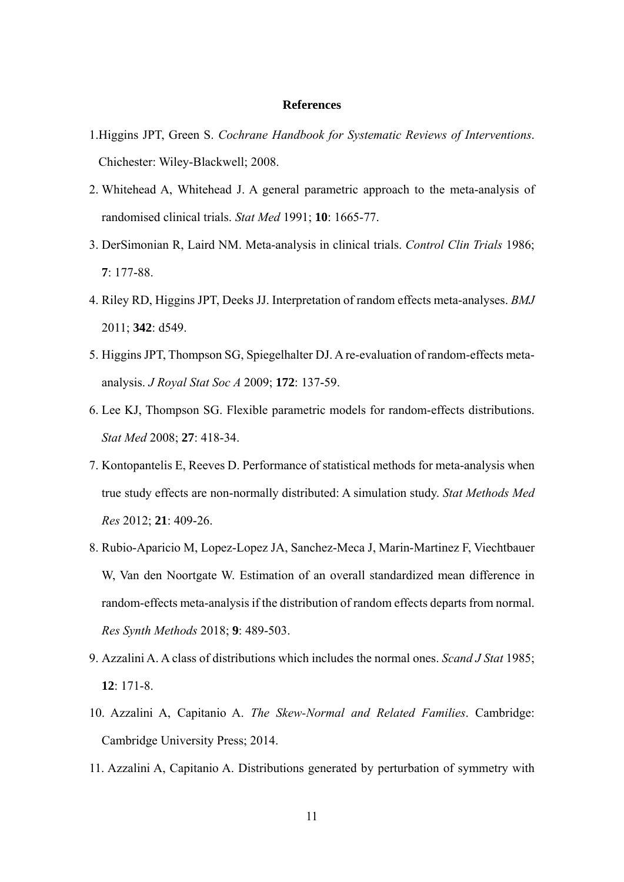#### **References**

- 1. Higgins JPT, Green S. *Cochrane Handbook for Systematic Reviews of Interventions*. Chichester: Wiley-Blackwell; 2008.
- 2. Whitehead A, Whitehead J. A general parametric approach to the meta-analysis of randomised clinical trials. *Stat Med* 1991; **10**: 1665-77.
- 3. DerSimonian R, Laird NM. Meta-analysis in clinical trials. *Control Clin Trials* 1986; **7**: 177-88.
- 4. Riley RD, Higgins JPT, Deeks JJ. Interpretation of random effects meta-analyses. *BMJ*  2011; **342**: d549.
- 5. Higgins JPT, Thompson SG, Spiegelhalter DJ. A re-evaluation of random-effects metaanalysis. *J Royal Stat Soc A* 2009; **172**: 137-59.
- 6. Lee KJ, Thompson SG. Flexible parametric models for random-effects distributions. *Stat Med* 2008; **27**: 418-34.
- 7. Kontopantelis E, Reeves D. Performance of statistical methods for meta-analysis when true study effects are non-normally distributed: A simulation study. *Stat Methods Med Res* 2012; **21**: 409-26.
- 8. Rubio-Aparicio M, Lopez-Lopez JA, Sanchez-Meca J, Marin-Martinez F, Viechtbauer W, Van den Noortgate W. Estimation of an overall standardized mean difference in random-effects meta-analysis if the distribution of random effects departs from normal. *Res Synth Methods* 2018; **9**: 489-503.
- 9. Azzalini A. A class of distributions which includes the normal ones. *Scand J Stat* 1985; **12**: 171-8.
- 10. Azzalini A, Capitanio A. *The Skew-Normal and Related Families*. Cambridge: Cambridge University Press; 2014.
- 11. Azzalini A, Capitanio A. Distributions generated by perturbation of symmetry with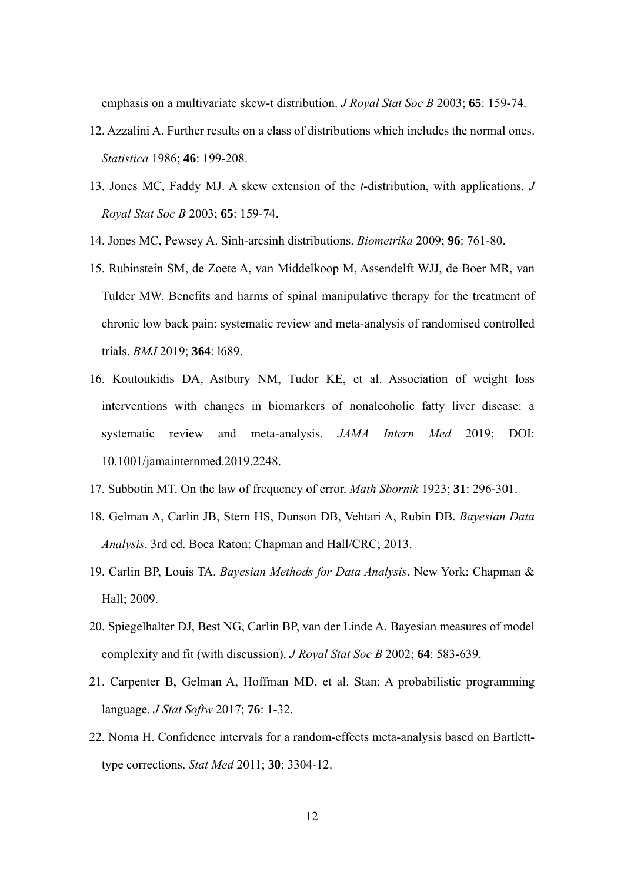emphasis on a multivariate skew-t distribution. *J Royal Stat Soc B* 2003; **65**: 159-74.

- 12. Azzalini A. Further results on a class of distributions which includes the normal ones. *Statistica* 1986; **46**: 199-208.
- 13. Jones MC, Faddy MJ. A skew extension of the *t*-distribution, with applications. *J Royal Stat Soc B* 2003; **65**: 159-74.
- 14. Jones MC, Pewsey A. Sinh-arcsinh distributions. *Biometrika* 2009; **96**: 761-80.
- 15. Rubinstein SM, de Zoete A, van Middelkoop M, Assendelft WJJ, de Boer MR, van Tulder MW. Benefits and harms of spinal manipulative therapy for the treatment of chronic low back pain: systematic review and meta-analysis of randomised controlled trials. *BMJ* 2019; **364**: l689.
- 16. Koutoukidis DA, Astbury NM, Tudor KE, et al. Association of weight loss interventions with changes in biomarkers of nonalcoholic fatty liver disease: a systematic review and meta-analysis. *JAMA Intern Med* 2019; DOI: 10.1001/jamainternmed.2019.2248.
- 17. Subbotin MT. On the law of frequency of error. *Math Sbornik* 1923; **31**: 296-301.
- 18. Gelman A, Carlin JB, Stern HS, Dunson DB, Vehtari A, Rubin DB. *Bayesian Data Analysis*. 3rd ed. Boca Raton: Chapman and Hall/CRC; 2013.
- 19. Carlin BP, Louis TA. *Bayesian Methods for Data Analysis*. New York: Chapman & Hall; 2009.
- 20. Spiegelhalter DJ, Best NG, Carlin BP, van der Linde A. Bayesian measures of model complexity and fit (with discussion). *J Royal Stat Soc B* 2002; **64**: 583-639.
- 21. Carpenter B, Gelman A, Hoffman MD, et al. Stan: A probabilistic programming language. *J Stat Softw* 2017; **76**: 1-32.
- 22. Noma H. Confidence intervals for a random-effects meta-analysis based on Bartletttype corrections. *Stat Med* 2011; **30**: 3304-12.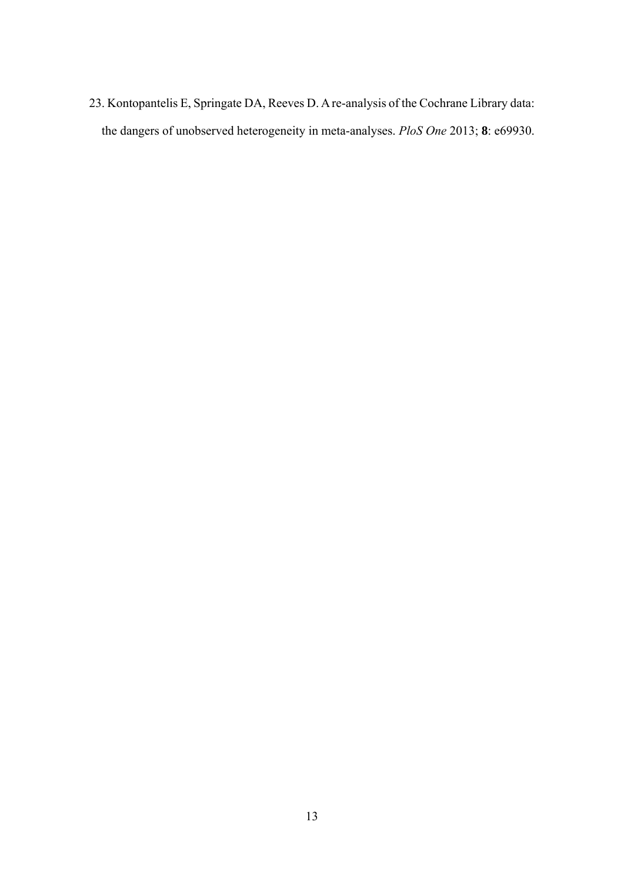23. Kontopantelis E, Springate DA, Reeves D. A re-analysis of the Cochrane Library data: the dangers of unobserved heterogeneity in meta-analyses. *PloS One* 2013; **8**: e69930.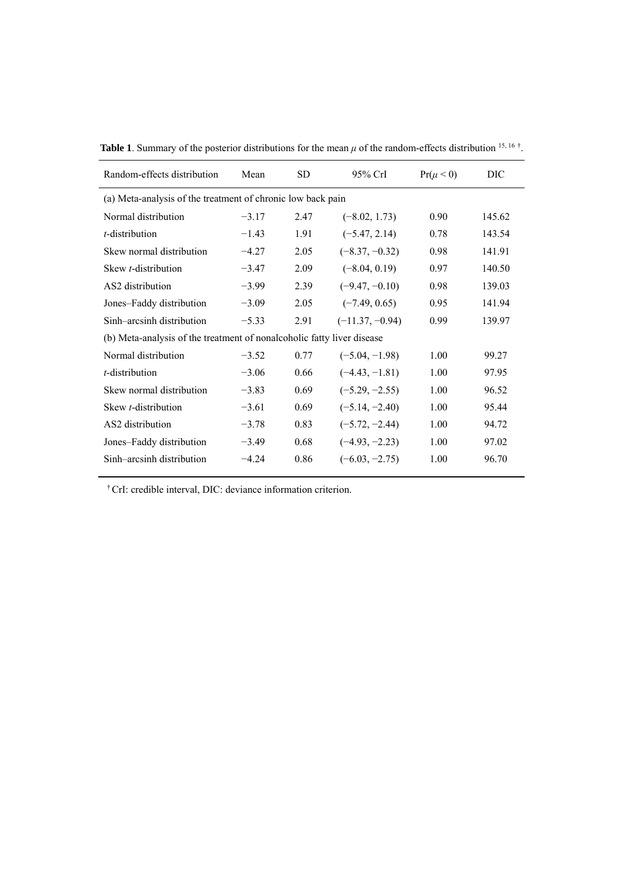| Random-effects distribution                                            | Mean    | SD.  | $95%$ CrI         | $Pr(\mu < 0)$ | DIC    |  |  |  |  |  |  |
|------------------------------------------------------------------------|---------|------|-------------------|---------------|--------|--|--|--|--|--|--|
| (a) Meta-analysis of the treatment of chronic low back pain            |         |      |                   |               |        |  |  |  |  |  |  |
| Normal distribution                                                    | $-3.17$ | 2.47 | $(-8.02, 1.73)$   | 0.90          | 145.62 |  |  |  |  |  |  |
| t-distribution                                                         | $-1.43$ | 1.91 | $(-5.47, 2.14)$   | 0.78          | 143.54 |  |  |  |  |  |  |
| Skew normal distribution                                               | $-4.27$ | 2.05 | $(-8.37, -0.32)$  | 0.98          | 141.91 |  |  |  |  |  |  |
| Skew t-distribution                                                    | $-3.47$ | 2.09 | $(-8.04, 0.19)$   | 0.97          | 140.50 |  |  |  |  |  |  |
| AS <sub>2</sub> distribution                                           | $-3.99$ | 2.39 | $(-9.47, -0.10)$  | 0.98          | 139.03 |  |  |  |  |  |  |
| Jones-Faddy distribution                                               | $-3.09$ | 2.05 | $(-7.49, 0.65)$   | 0.95          | 141.94 |  |  |  |  |  |  |
| Sinh-arcsinh distribution                                              | $-5.33$ | 2.91 | $(-11.37, -0.94)$ | 0.99          | 139.97 |  |  |  |  |  |  |
| (b) Meta-analysis of the treatment of nonalcoholic fatty liver disease |         |      |                   |               |        |  |  |  |  |  |  |
| Normal distribution                                                    | $-3.52$ | 0.77 | $(-5.04, -1.98)$  | 1.00          | 99.27  |  |  |  |  |  |  |
| <i>t</i> -distribution                                                 | $-3.06$ | 0.66 | $(-4.43, -1.81)$  | 1.00          | 97.95  |  |  |  |  |  |  |
| Skew normal distribution                                               | $-3.83$ | 0.69 | $(-5.29, -2.55)$  | 1.00          | 96.52  |  |  |  |  |  |  |
| Skew t-distribution                                                    | $-3.61$ | 0.69 | $(-5.14, -2.40)$  | 1.00          | 95.44  |  |  |  |  |  |  |
| AS2 distribution                                                       | $-3.78$ | 0.83 | $(-5.72, -2.44)$  | 1.00          | 94.72  |  |  |  |  |  |  |
| Jones-Faddy distribution                                               | $-3.49$ | 0.68 | $(-4.93, -2.23)$  | 1.00          | 97.02  |  |  |  |  |  |  |
| Sinh-arcsinh distribution                                              | $-4.24$ | 0.86 | $(-6.03, -2.75)$  | 1.00          | 96.70  |  |  |  |  |  |  |

**Table 1.** Summary of the posterior distributions for the mean  $\mu$  of the random-effects distribution <sup>15, 16</sup>.

† CrI: credible interval, DIC: deviance information criterion.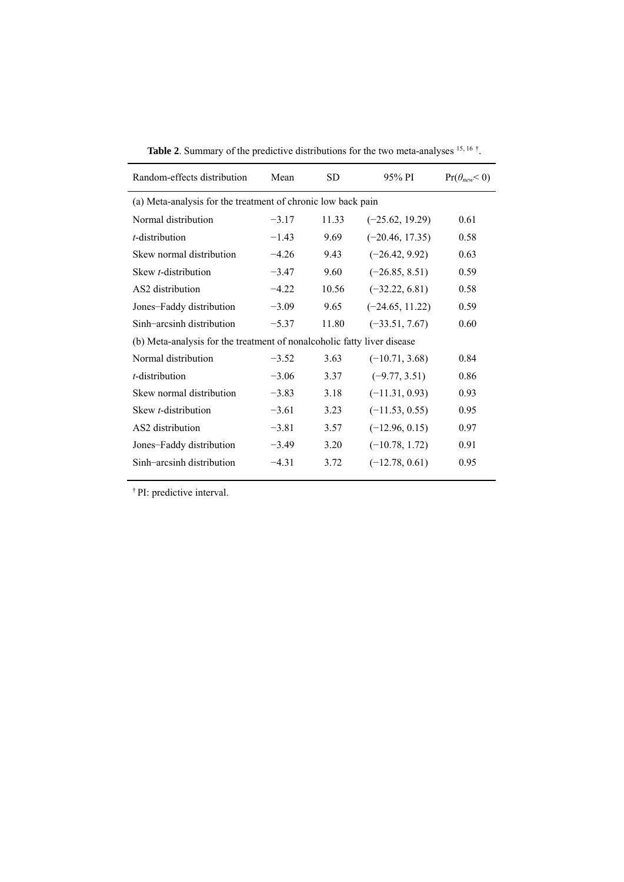| Random-effects distribution                                             | Mean    | <b>SD</b> | 95% PI            | $Pr(\theta_{new} < 0)$ |  |  |  |  |  |  |
|-------------------------------------------------------------------------|---------|-----------|-------------------|------------------------|--|--|--|--|--|--|
| (a) Meta-analysis for the treatment of chronic low back pain            |         |           |                   |                        |  |  |  |  |  |  |
| Normal distribution                                                     | $-3.17$ | 11.33     | $(-25.62, 19.29)$ | 0.61                   |  |  |  |  |  |  |
| $t$ -distribution                                                       | $-1.43$ | 9.69      | $(-20.46, 17.35)$ | 0.58                   |  |  |  |  |  |  |
| Skew normal distribution                                                | $-4.26$ | 9.43      | $(-26.42, 9.92)$  | 0.63                   |  |  |  |  |  |  |
| Skew <i>t</i> -distribution                                             | $-3.47$ | 9.60      | $(-26.85, 8.51)$  | 0.59                   |  |  |  |  |  |  |
| AS <sub>2</sub> distribution                                            | $-4.22$ | 10.56     | $(-32.22, 6.81)$  | 0.58                   |  |  |  |  |  |  |
| Jones-Faddy distribution                                                | $-3.09$ | 9.65      | $(-24.65, 11.22)$ | 0.59                   |  |  |  |  |  |  |
| Sinh-arcsinh distribution                                               | $-5.37$ | 11.80     | $(-33.51, 7.67)$  | 0.60                   |  |  |  |  |  |  |
| (b) Meta-analysis for the treatment of nonalcoholic fatty liver disease |         |           |                   |                        |  |  |  |  |  |  |
| Normal distribution                                                     | $-3.52$ | 3.63      | $(-10.71, 3.68)$  | 0.84                   |  |  |  |  |  |  |
| <i>t</i> -distribution                                                  | $-3.06$ | 3.37      | $(-9.77, 3.51)$   | 0.86                   |  |  |  |  |  |  |
| Skew normal distribution                                                | $-3.83$ | 3.18      | $(-11.31, 0.93)$  | 0.93                   |  |  |  |  |  |  |
| Skew <i>t</i> -distribution                                             | $-3.61$ | 3.23      | $(-11.53, 0.55)$  | 0.95                   |  |  |  |  |  |  |
| AS2 distribution                                                        | $-3.81$ | 3.57      | $(-12.96, 0.15)$  | 0.97                   |  |  |  |  |  |  |
| Jones-Faddy distribution                                                | $-3.49$ | 3.20      | $(-10.78, 1.72)$  | 0.91                   |  |  |  |  |  |  |
| Sinh-arcsinh distribution                                               | $-4.31$ | 3.72      | $(-12.78, 0.61)$  | 0.95                   |  |  |  |  |  |  |

**Table 2.** Summary of the predictive distributions for the two meta-analyses <sup>15, 16</sup> <sup>†</sup>.

† PI: predictive interval.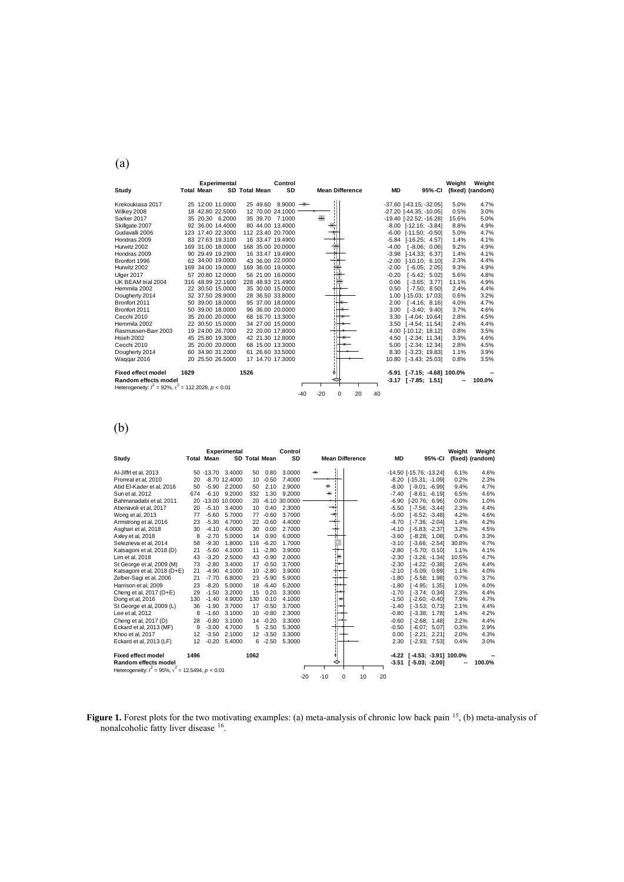| ۰,<br>I<br>٦<br>I |
|-------------------|
|-------------------|

|                                                                |      |                   | <b>Experimental</b> |      |                      | Control             |       |       |                        |    |    |           |                                  |        | Weight | Weight           |
|----------------------------------------------------------------|------|-------------------|---------------------|------|----------------------|---------------------|-------|-------|------------------------|----|----|-----------|----------------------------------|--------|--------|------------------|
| Study                                                          |      | <b>Total Mean</b> |                     |      | <b>SD Total Mean</b> | SD                  |       |       | <b>Mean Difference</b> |    |    | <b>MD</b> |                                  | 95%-CI |        | (fixed) (random) |
| Krekoukiasa 2017                                               |      |                   | 25 12.00 11.0000    |      |                      | $25,49.60,8.9000$ = |       |       |                        |    |    |           | $-37.60$ [ $-43.15$ ; $-32.05$ ] |        | 5.0%   | 4.7%             |
| Wilkey 2008                                                    |      |                   | 18 42.80 22.5000    |      |                      | 12 70.00 24.1000    |       |       |                        |    |    |           | $-27.20$ [ $-44.35$ ; $-10.05$ ] |        | 0.5%   | 3.0%             |
| Sarker 2017                                                    |      |                   | 35 20.30 6.2000     |      |                      | 35 39.70 7.1000     |       |       |                        |    |    |           | -19.40 [-22.52; -16.28]          |        | 15.6%  | 5.0%             |
| Skillgate 2007                                                 |      |                   | 92 36.00 14.4000    |      |                      | 80 44.00 13.4000    |       |       |                        |    |    |           | $-8.00$ $[-12.16; -3.84]$        |        | 8.8%   | 4.9%             |
| Gudavalli 2006                                                 |      |                   | 123 17.40 22.3000   |      |                      | 112 23.40 20.7000   |       |       |                        |    |    |           | $-6.00$ $[-11.50; -0.50]$        |        | 5.0%   | 4.7%             |
| Hondras 2009                                                   |      |                   | 83 27.63 19.3100    |      |                      | 16 33.47 19.4900    |       |       |                        |    |    |           | $-5.84$ [ $-16.25$ ; 4.57]       |        | 1.4%   | 4.1%             |
| Hurwitz 2002                                                   |      |                   | 169 31.00 18.0000   |      |                      | 168 35.00 20.0000   |       |       |                        |    |    |           | $-4.00$ [ $-8.06$ ; 0.06]        |        | 9.2%   | 4.9%             |
| Hondras 2009                                                   |      |                   | 90 29.49 19.2900    |      |                      | 16 33.47 19.4900    |       |       |                        |    |    |           | $-3.98$ $[-14.33; 6.37]$         |        | 1.4%   | 4.1%             |
| Bronfort 1996                                                  |      |                   | 62 34.00 19.0000    |      |                      | 43 36.00 22.0000    |       |       | ïΙ                     |    |    |           | $-2.00$ $[-10.10; 6.10]$         |        | 2.3%   | 4.4%             |
| Hurwitz 2002                                                   |      |                   | 169 34.00 19.0000   |      |                      | 169 36.00 19.0000   |       |       |                        |    |    | $-2.00$   | $[-6.05; 2.05]$                  |        | 9.3%   | 4.9%             |
| Ulger 2017                                                     |      |                   | 57 20.80 12.0000    |      |                      | 56 21.00 16.0000    |       |       |                        |    |    | $-0.20$   | $[-5.42: 5.02]$                  |        | 5.6%   | 4.8%             |
| UK BEAM trial 2004                                             |      |                   | 316 48.99 22.1600   |      |                      | 228 48.93 21.4900   |       |       |                        |    |    | 0.06      | $[-3.65; 3.77]$                  |        | 11.1%  | 4.9%             |
| Hemmila 2002                                                   |      |                   | 22 30.50 15.0000    |      |                      | 35 30.00 15.0000    |       |       |                        |    |    | 0.50      | $[-7.50; 8.50]$                  |        | 2.4%   | 4.4%             |
| Dougherty 2014                                                 |      |                   | 32 37.50 28.9000    |      |                      | 28 36.50 33.8000    |       |       |                        |    |    |           | 1.00 [-15.03; 17.03]             |        | 0.6%   | 3.2%             |
| Bronfort 2011                                                  |      |                   | 50 39.00 18.0000    |      |                      | 95 37.00 18.0000    |       |       |                        |    |    |           | 2.00 [-4.16; 8.16]               |        | 4.0%   | 4.7%             |
| Bronfort 2011                                                  |      |                   | 50 39.00 18.0000    |      |                      | 96 36.00 20.0000    |       |       |                        |    |    | 3.00      | $[-3.40; 9.40]$                  |        | 3.7%   | 4.6%             |
| Cecchi 2010                                                    |      |                   | 35 20.00 20.0000    |      |                      | 68 16.70 13.3000    |       |       |                        |    |    |           | 3.30 [-4.04: 10.64]              |        | 2.8%   | 4.5%             |
| Hemmila 2002                                                   |      |                   | 22 30.50 15.0000    |      |                      | 34 27.00 15.0000    |       |       |                        |    |    |           | 3.50 [-4.54; 11.54]              |        | 2.4%   | 4.4%             |
| Rasmussen-Barr 2003                                            |      |                   | 19 24.00 26.7000    |      |                      | 22 20.00 17.8000    |       |       |                        |    |    |           | 4.00 [-10.12; 18.12]             |        | 0.8%   | 3.5%             |
| <b>Hsieh 2002</b>                                              |      |                   | 45 25.80 19.3000    |      |                      | 42 21.30 12.8000    |       |       |                        |    |    |           | 4.50 [-2.34; 11.34]              |        | 3.3%   | 4.6%             |
| Cecchi 2010                                                    |      |                   | 35 20.00 20.0000    |      |                      | 68 15.00 13.3000    |       |       |                        |    |    |           | 5.00 [-2.34: 12.34]              |        | 2.8%   | 4.5%             |
| Dougherty 2014                                                 |      |                   | 60 34.90 31.2000    |      |                      | 61 26.60 33.5000    |       |       |                        |    |    |           | 8.30 [-3.23; 19.83]              |        | 1.1%   | 3.9%             |
| Waqqar 2016                                                    |      |                   | 20 25.50 26.5000    |      |                      | 17 14.70 17.3000    |       |       |                        |    |    |           | 10.80 [-3.43; 25.03]             |        | 0.8%   | 3.5%             |
|                                                                |      |                   |                     |      |                      |                     |       |       |                        |    |    |           |                                  |        |        |                  |
| <b>Fixed effect model</b>                                      | 1629 |                   |                     | 1526 |                      |                     |       |       | ٥                      |    |    |           | -5.91 [-7.15; -4.68] 100.0%      |        |        |                  |
| Random effects model                                           |      |                   |                     |      |                      |                     |       |       |                        |    |    |           | $-3.17$ [ $-7.85$ ; 1.51]        |        |        | 100.0%           |
| Heterogeneity: $l^2 = 92\%$ , $\tau^2 = 112.2028$ , $p < 0.01$ |      |                   |                     |      |                      |                     |       |       |                        |    |    |           |                                  |        |        |                  |
|                                                                |      |                   |                     |      |                      |                     | $-40$ | $-20$ | $\Omega$               | 20 | 40 |           |                                  |        |        |                  |

# (b)

|                                                               |      | <b>Total Mean</b> | <b>Experimental</b> |                 | <b>SD Total Mean</b> | Control<br>SD   | <b>Mean Difference</b>          | <b>MD</b> | 95%-CI                        | Weight | Weight           |
|---------------------------------------------------------------|------|-------------------|---------------------|-----------------|----------------------|-----------------|---------------------------------|-----------|-------------------------------|--------|------------------|
| Study                                                         |      |                   |                     |                 |                      |                 |                                 |           |                               |        | (fixed) (random) |
| Al-Jiffrl et al, 2013                                         |      |                   | 50 -13.70 3.4000    | 50              | 0.80                 | 3.0000          |                                 |           | -14.50 [-15.76; -13.24]       | 6.1%   | 4.6%             |
| Promrat et al. 2010                                           | 20   |                   | $-8.70$ 12.4000     | 10 <sup>1</sup> | $-0.50$              | 7.4000          |                                 |           | $-8.20$ $[-15.31; -1.09]$     | 0.2%   | 2.3%             |
| Abd El-Kader et al. 2016                                      | 50   | $-5.90$           | 2.2000              | 50              | 2.10                 | 2.9000          | 퐈                               |           | $-8.00$ [ $-9.01$ ; $-6.99$ ] | 9.4%   | 4.7%             |
| Sun et al, 2012                                               | 674  | $-6.10$           | 9.2000              | 332             | 1.30                 | 9.2000          | 王                               |           | $-7.40$ [ $-8.61$ ; $-6.19$ ] | 6.5%   | 4.6%             |
| Bahmanadabi et al. 2011                                       |      |                   | 20 -13.00 10.0000   | 20              |                      | $-6.10$ 30,0000 | π<br>τē                         |           | $-6.90$ $[-20.76; 6.96]$      | 0.0%   | 1.0%             |
| Abenavoli et al, 2017                                         | 20   | $-5.10$           | 3.4000              | 10              | 0.40                 | 2.3000          | $\overline{\phantom{0}}$<br>J.  |           | $-5.50$ [ $-7.56$ ; $-3.44$ ] | 2.3%   | 4.4%             |
| Wong et al, 2013                                              | 77   | $-5.60$           | 5.7000              | 77              | $-0.60$              | 3.7000          | ŧ                               | $-5.00$   | $[-6.52; -3.48]$              | 4.2%   | 4.6%             |
| Armstrong et al. 2016                                         | 23   | $-5.30$           | 4.7000              | 22              | $-0.60$              | 4.4000          |                                 | $-4.70$   | $[-7.36: -2.04]$              | 1.4%   | 4.2%             |
| Asghari et al. 2018                                           | 30   | $-4.10$           | 4.0000              | 30              | 0.00                 | 2.7000          |                                 | $-4.10$   | $[-5.83: -2.37]$              | 3.2%   | 4.5%             |
| Axley et al, 2018                                             | 8    | $-2.70$           | 5.0000              | 14              | 0.90                 | 6.0000          |                                 | $-3.60$   | $[-8.28; 1.08]$               | 0.4%   | 3.3%             |
| Selezneva et al. 2014                                         | 58   | $-9.30$           | 1.8000              | 116             | $-6.20$              | 1.7000          |                                 | $-3.10$   | $[-3.66; -2.54]$              | 30.8%  | 4.7%             |
| Katsagoni et al, 2018 (D)                                     | 21   | $-5.60$           | 4.1000              | 11              | $-2.80$              | 3.9000          |                                 | $-2.80$   | $[-5.70; 0.10]$               | 1.1%   | 4.1%             |
| Lim et al, 2018                                               | 43   | $-3.20$           | 2.5000              | 43              | $-0.90$              | 2.0000          | h.                              | $-2.30$   | $[-3.26; -1.34]$              | 10.5%  | 4.7%             |
| St George et al, 2009 (M)                                     | 73   | $-2.80$           | 3.4000              | 17              | $-0.50$              | 3.7000          |                                 | $-2.30$   | $[-4.22: -0.38]$              | 2.6%   | 4.4%             |
| Katsagoni et al, 2018 (D+E)                                   | 21   | $-4.90$           | 4.1000              | 10              | $-2.80$              | 3.9000          | Ŧ                               | $-2.10$   | $[-5.09: 0.89]$               | 1.1%   | 4.0%             |
| Zelber-Sagi et al, 2006                                       | 21   | $-7.70$           | 6.8000              | 23              | $-5.90$              | 5.9000          |                                 | $-1.80$   | $[-5.58; 1.98]$               | 0.7%   | 3.7%             |
| Harrison et al. 2009                                          | 23   | $-8.20$           | 5.0000              | 18              | $-6.40$              | 5.2000          |                                 | $-1.80$   | $[-4.95: 1.35]$               | 1.0%   | 4.0%             |
| Cheng et al, 2017 (D+E)                                       | 29   | $-1.50$           | 3.2000              | 15              | 0.20                 | 3.3000          |                                 | $-1.70$   | $[-3.74: 0.34]$               | 2.3%   | 4.4%             |
| Dong et al, 2016                                              | 130  | $-1.40$           | 4.9000              | 130             | 0.10                 | 4.1000          |                                 | $-1.50$   | $[-2.60; -0.40]$              | 7.9%   | 4.7%             |
| St George et al, 2009 (L)                                     | 36   | $-1.90$           | 3.7000              | 17              | $-0.50$              | 3.7000          |                                 | $-1.40$   | $[-3.53; 0.73]$               | 2.1%   | 4.4%             |
| Lee et al, 2012                                               | 8    | $-1.60$           | 3.1000              | 10              | $-0.80$              | 2.3000          |                                 | $-0.80$   | $[-3.38; 1.78]$               | 1.4%   | 4.2%             |
| Cheng et al, 2017 (D)                                         | 28   | $-0.80$           | 3.1000              |                 | $14 - 0.20$          | 3.3000          |                                 | $-0.60$   | $[-2.68: 1.48]$               | 2.2%   | 4.4%             |
| Eckard et al. 2013 (MF)                                       | 9    | $-3.00$           | 4.7000              | 5               | $-2.50$              | 5.3000          |                                 | $-0.50$   | $[-6.07; 5.07]$               | 0.3%   | 2.9%             |
| Khoo et al, 2017                                              | 12   | $-3.50$           | 2.1000              |                 | $12 - 3.50$          | 3.3000          |                                 | 0.00      | $[-2.21; 2.21]$               | 2.0%   | 4.3%             |
| Eckard et al, 2013 (LF)                                       | 12   | $-0.20$           | 5.4000              |                 | $6 -2.50$            | 5.3000          |                                 | 2.30      | $[-2.93; 7.53]$               | 0.4%   | 3.0%             |
|                                                               |      |                   |                     |                 |                      |                 |                                 |           |                               |        |                  |
| <b>Fixed effect model</b>                                     | 1496 |                   |                     | 1062            |                      |                 | ¢i                              |           | -4.22 [-4.53; -3.91] 100.0%   |        |                  |
| <b>Random effects model</b>                                   |      |                   |                     |                 |                      |                 | ◇                               |           | $-3.51$ [ $-5.03$ ; $-2.00$ ] |        | 100.0%           |
| Heterogeneity: $I^2 = 95\%$ , $\tau^2 = 12.5494$ , $p < 0.01$ |      |                   |                     |                 |                      |                 |                                 |           |                               |        |                  |
|                                                               |      |                   |                     |                 |                      |                 | $-20$<br>$-10$<br>0<br>10<br>20 |           |                               |        |                  |

**Figure 1.** Forest plots for the two motivating examples: (a) meta-analysis of chronic low back pain <sup>15</sup>, (b) meta-analysis of nonalcoholic fatty liver disease 16.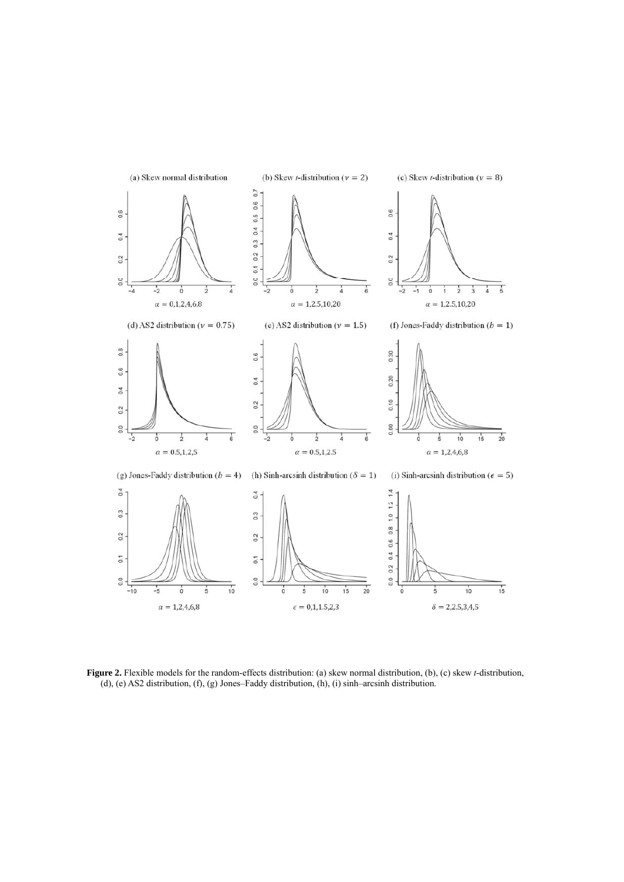

**Figure 2.** Flexible models for the random-effects distribution: (a) skew normal distribution, (b), (c) skew *t*-distribution,  $($ d), (e) AS2 distribution, (f), (g) Jones–Faddy distribution, (h), (i) sinh–arcsinh distribution.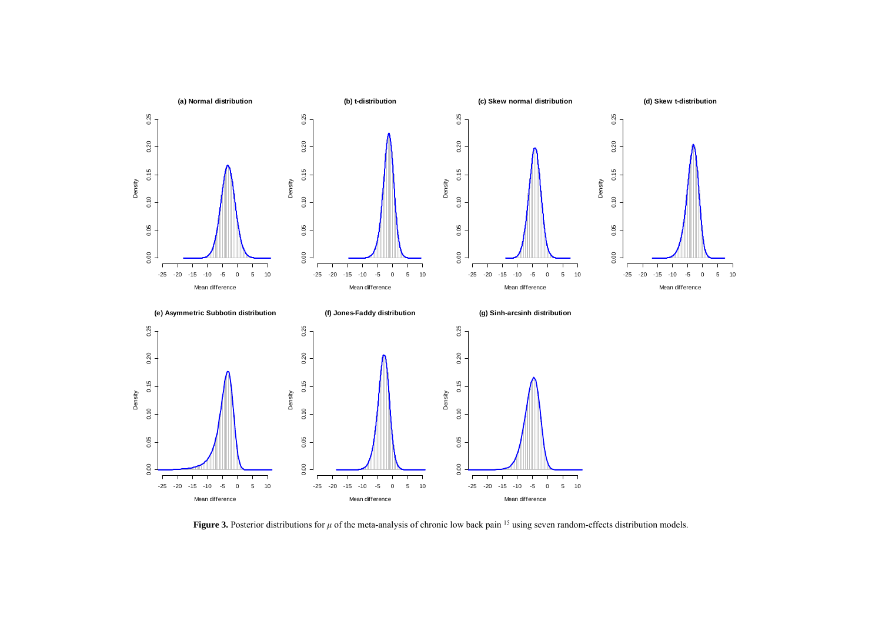

**Figure 3.** Posterior distributions for *μ* of the meta-analysis of chronic low back pain <sup>15</sup> using seven random-effects distribution models.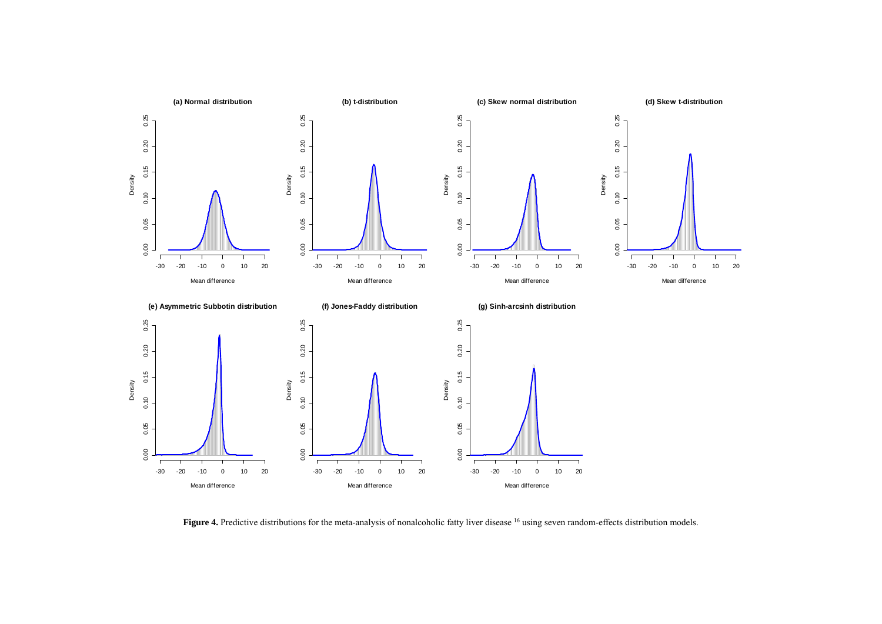

Figure 4. Predictive distributions for the meta-analysis of nonalcoholic fatty liver disease <sup>16</sup> using seven random-effects distribution models.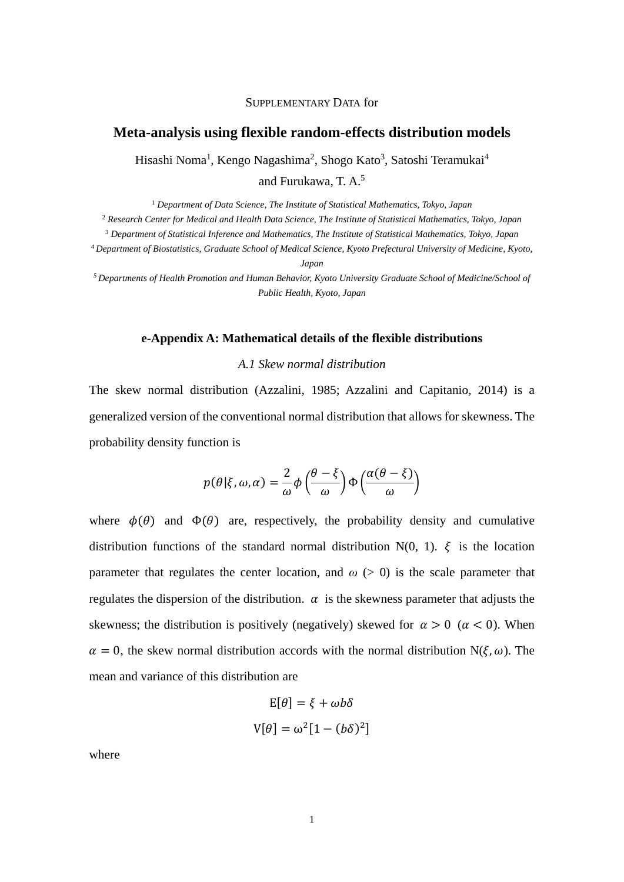#### SUPPLEMENTARY DATA for

# **Meta-analysis using flexible random-effects distribution models**

Hisashi Noma<sup>1</sup>, Kengo Nagashima<sup>2</sup>, Shogo Kato<sup>3</sup>, Satoshi Teramukai<sup>4</sup> and Furukawa, T. A.5

<sup>1</sup> *Department of Data Science, The Institute of Statistical Mathematics, Tokyo, Japan*

<sup>2</sup> *Research Center for Medical and Health Data Science, The Institute of Statistical Mathematics, Tokyo, Japan*

<sup>3</sup> *Department of Statistical Inference and Mathematics, The Institute of Statistical Mathematics, Tokyo, Japan*

*4 Department of Biostatistics, Graduate School of Medical Science, Kyoto Prefectural University of Medicine, Kyoto, Japan*

*5 Departments of Health Promotion and Human Behavior, Kyoto University Graduate School of Medicine/School of Public Health, Kyoto, Japan*

# **e-Appendix A: Mathematical details of the flexible distributions**

*A.1 Skew normal distribution*

The skew normal distribution (Azzalini, 1985; Azzalini and Capitanio, 2014) is a generalized version of the conventional normal distribution that allows for skewness. The probability density function is

$$
p(\theta|\xi,\omega,\alpha) = \frac{2}{\omega}\phi\left(\frac{\theta-\xi}{\omega}\right)\Phi\left(\frac{\alpha(\theta-\xi)}{\omega}\right)
$$

where  $\phi(\theta)$  and  $\Phi(\theta)$  are, respectively, the probability density and cumulative distribution functions of the standard normal distribution  $N(0, 1)$ .  $\xi$  is the location parameter that regulates the center location, and  $\omega$  ( $>$  0) is the scale parameter that regulates the dispersion of the distribution.  $\alpha$  is the skewness parameter that adjusts the skewness; the distribution is positively (negatively) skewed for  $\alpha > 0$  ( $\alpha < 0$ ). When  $\alpha = 0$ , the skew normal distribution accords with the normal distribution N( $\xi, \omega$ ). The mean and variance of this distribution are

$$
E[\theta] = \xi + \omega b \delta
$$

$$
V[\theta] = \omega^2 [1 - (b\delta)^2]
$$

where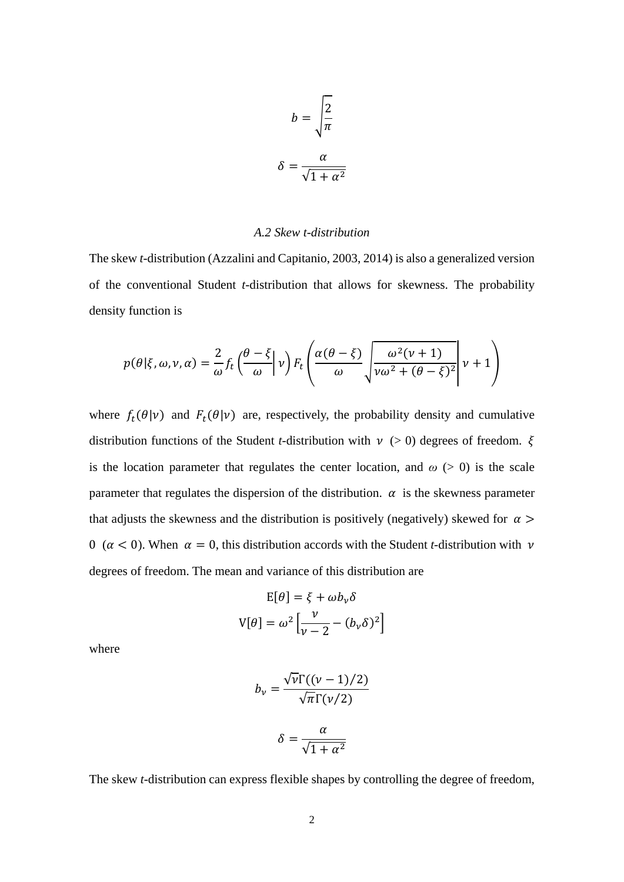$$
b = \sqrt{\frac{2}{\pi}}
$$

$$
\delta = \frac{\alpha}{\sqrt{1 + \alpha^2}}
$$

# *A.2 Skew t-distribution*

The skew *t*-distribution (Azzalini and Capitanio, 2003, 2014) is also a generalized version of the conventional Student *t*-distribution that allows for skewness. The probability density function is

$$
p(\theta|\xi,\omega,v,\alpha) = \frac{2}{\omega} f_t \left(\frac{\theta-\xi}{\omega}\bigg|v\right) F_t \left(\frac{\alpha(\theta-\xi)}{\omega}\sqrt{\frac{\omega^2(v+1)}{v\omega^2+(\theta-\xi)^2}}\bigg|v+1\right)
$$

where  $f_t(\theta|\nu)$  and  $F_t(\theta|\nu)$  are, respectively, the probability density and cumulative distribution functions of the Student *t*-distribution with  $\nu$  (> 0) degrees of freedom.  $\xi$ is the location parameter that regulates the center location, and  $\omega$  ( $>$  0) is the scale parameter that regulates the dispersion of the distribution.  $\alpha$  is the skewness parameter that adjusts the skewness and the distribution is positively (negatively) skewed for  $\alpha$ 0 ( $\alpha$  < 0). When  $\alpha$  = 0, this distribution accords with the Student *t*-distribution with  $\nu$ degrees of freedom. The mean and variance of this distribution are

$$
E[\theta] = \xi + \omega b_v \delta
$$

$$
V[\theta] = \omega^2 \left[ \frac{v}{v - 2} - (b_v \delta)^2 \right]
$$

where

$$
b_{\nu} = \frac{\sqrt{\nu} \Gamma((\nu - 1)/2)}{\sqrt{\pi} \Gamma(\nu/2)}
$$

$$
\delta = \frac{\alpha}{\sqrt{1 + \alpha^2}}
$$

The skew *t*-distribution can express flexible shapes by controlling the degree of freedom,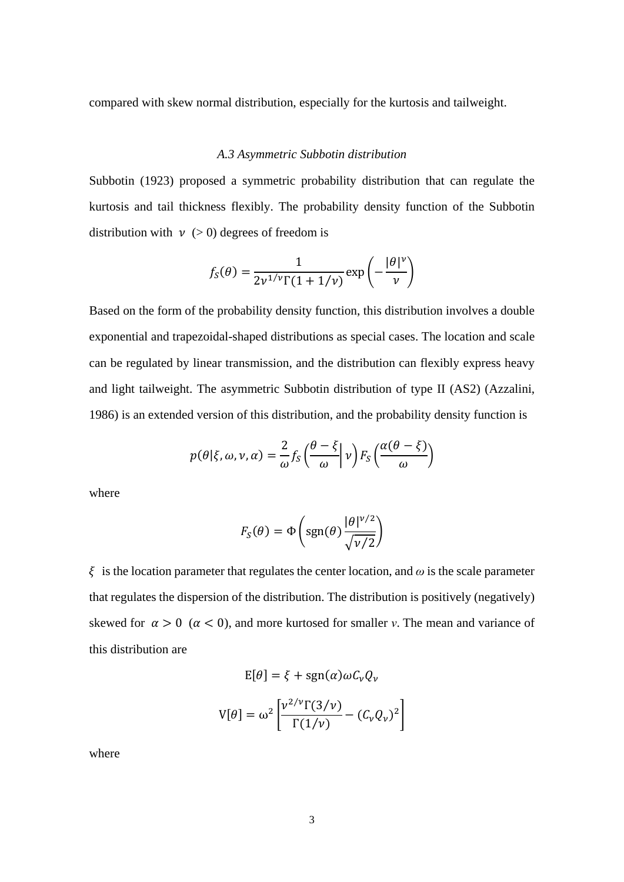compared with skew normal distribution, especially for the kurtosis and tailweight.

# *A.3 Asymmetric Subbotin distribution*

Subbotin (1923) proposed a symmetric probability distribution that can regulate the kurtosis and tail thickness flexibly. The probability density function of the Subbotin distribution with  $v > 0$  degrees of freedom is

$$
f_S(\theta) = \frac{1}{2\nu^{1/\nu}\Gamma(1+1/\nu)} \exp\left(-\frac{|\theta|^{\nu}}{\nu}\right)
$$

Based on the form of the probability density function, this distribution involves a double exponential and trapezoidal-shaped distributions as special cases. The location and scale can be regulated by linear transmission, and the distribution can flexibly express heavy and light tailweight. The asymmetric Subbotin distribution of type II (AS2) (Azzalini, 1986) is an extended version of this distribution, and the probability density function is

$$
p(\theta|\xi,\omega,\nu,\alpha) = \frac{2}{\omega} f_S \left(\frac{\theta-\xi}{\omega}\bigg| \nu\right) F_S \left(\frac{\alpha(\theta-\xi)}{\omega}\right)
$$

where

$$
F_S(\theta) = \Phi\left(\text{sgn}(\theta) \frac{|\theta|^{\nu/2}}{\sqrt{\nu/2}}\right)
$$

 $\zeta$  is the location parameter that regulates the center location, and  $\omega$  is the scale parameter that regulates the dispersion of the distribution. The distribution is positively (negatively) skewed for  $\alpha > 0$  ( $\alpha < 0$ ), and more kurtosed for smaller *v*. The mean and variance of this distribution are

$$
E[\theta] = \xi + sgn(\alpha)\omega C_v Q_v
$$

$$
V[\theta] = \omega^2 \left[ \frac{v^{2/\nu} \Gamma(3/\nu)}{\Gamma(1/\nu)} - (C_v Q_v)^2 \right]
$$

where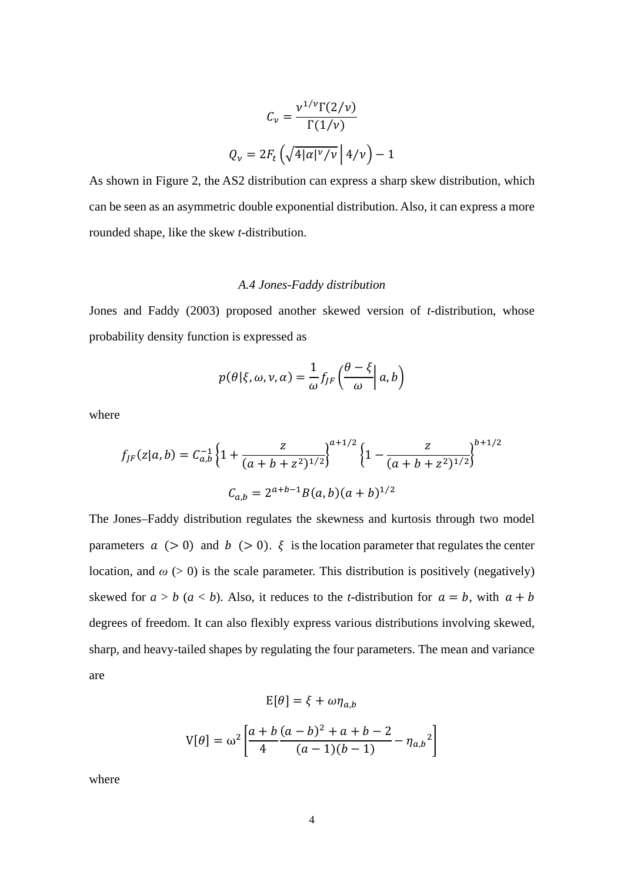$$
C_{\nu} = \frac{\nu^{1/\nu} \Gamma(2/\nu)}{\Gamma(1/\nu)}
$$

$$
Q_{\nu} = 2F_t \left( \sqrt{4|\alpha|^{\nu}/\nu} \middle| 4/\nu \right) - 1
$$

As shown in Figure 2, the AS2 distribution can express a sharp skew distribution, which can be seen as an asymmetric double exponential distribution. Also, it can express a more rounded shape, like the skew *t*-distribution.

#### *A.4 Jones-Faddy distribution*

Jones and Faddy (2003) proposed another skewed version of *t*-distribution, whose probability density function is expressed as

$$
p(\theta|\xi,\omega,\nu,\alpha) = \frac{1}{\omega} f_{JF}\left(\frac{\theta-\xi}{\omega}\bigg| \, a,b\right)
$$

where

$$
f_{JF}(z|a,b) = C_{a,b}^{-1} \left\{ 1 + \frac{z}{(a+b+z^2)^{1/2}} \right\}^{a+1/2} \left\{ 1 - \frac{z}{(a+b+z^2)^{1/2}} \right\}^{b+1/2}
$$

$$
C_{a,b} = 2^{a+b-1} B(a,b)(a+b)^{1/2}
$$

The Jones–Faddy distribution regulates the skewness and kurtosis through two model parameters  $a > 0$  and  $b > 0$ .  $\xi$  is the location parameter that regulates the center location, and  $\omega$  ( $>$  0) is the scale parameter. This distribution is positively (negatively) skewed for  $a > b$  ( $a < b$ ). Also, it reduces to the *t*-distribution for  $a = b$ , with  $a + b$ degrees of freedom. It can also flexibly express various distributions involving skewed, sharp, and heavy-tailed shapes by regulating the four parameters. The mean and variance are

$$
E[\theta] = \xi + \omega \eta_{a,b}
$$

$$
V[\theta] = \omega^2 \left[ \frac{a + b (a - b)^2 + a + b - 2}{4} - \eta_{a,b}{}^2 \right]
$$

where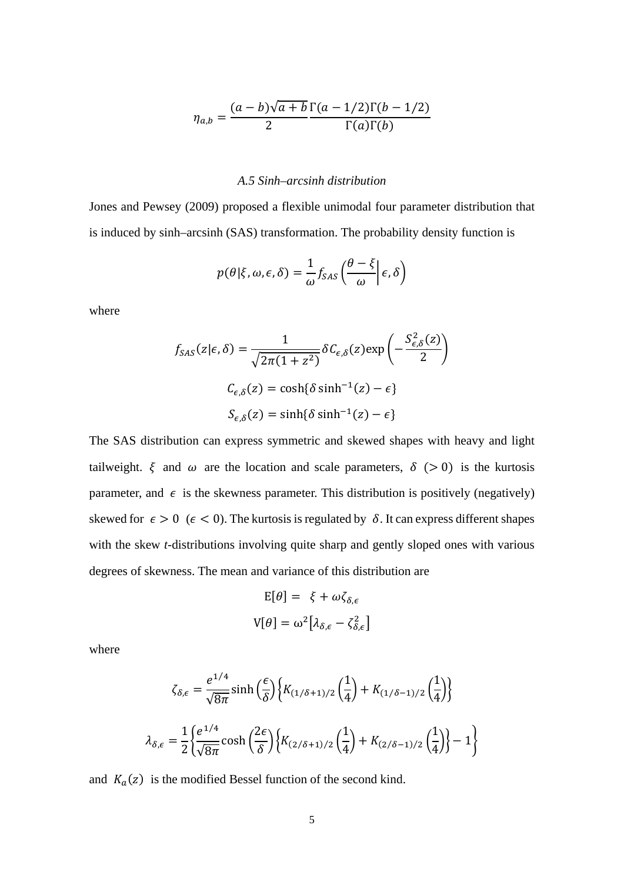$$
\eta_{a,b} = \frac{(a-b)\sqrt{a+b}}{2} \frac{\Gamma(a-1/2)\Gamma(b-1/2)}{\Gamma(a)\Gamma(b)}
$$

# *A.5 Sinh–arcsinh distribution*

Jones and Pewsey (2009) proposed a flexible unimodal four parameter distribution that is induced by sinh–arcsinh (SAS) transformation. The probability density function is

$$
p(\theta|\xi,\omega,\epsilon,\delta) = \frac{1}{\omega} f_{SAS} \left( \frac{\theta - \xi}{\omega} \right) \epsilon, \delta
$$

where

$$
f_{SAS}(z|\epsilon,\delta) = \frac{1}{\sqrt{2\pi(1+z^2)}} \delta C_{\epsilon,\delta}(z) \exp\left(-\frac{S_{\epsilon,\delta}^2(z)}{2}\right)
$$

$$
C_{\epsilon,\delta}(z) = \cosh\{\delta \sinh^{-1}(z) - \epsilon\}
$$

$$
S_{\epsilon,\delta}(z) = \sinh\{\delta \sinh^{-1}(z) - \epsilon\}
$$

The SAS distribution can express symmetric and skewed shapes with heavy and light tailweight.  $\xi$  and  $\omega$  are the location and scale parameters,  $\delta$  (> 0) is the kurtosis parameter, and  $\epsilon$  is the skewness parameter. This distribution is positively (negatively) skewed for  $\epsilon > 0$  ( $\epsilon < 0$ ). The kurtosis is regulated by  $\delta$ . It can express different shapes with the skew *t*-distributions involving quite sharp and gently sloped ones with various degrees of skewness. The mean and variance of this distribution are

$$
E[\theta] = \xi + \omega \zeta_{\delta,\epsilon}
$$

$$
V[\theta] = \omega^2 [\lambda_{\delta,\epsilon} - \zeta_{\delta,\epsilon}^2]
$$

where

$$
\zeta_{\delta,\epsilon} = \frac{e^{1/4}}{\sqrt{8\pi}} \sinh\left(\frac{\epsilon}{\delta}\right) \left\{ K_{(1/\delta+1)/2} \left(\frac{1}{4}\right) + K_{(1/\delta-1)/2} \left(\frac{1}{4}\right) \right\}
$$

$$
\lambda_{\delta,\epsilon} = \frac{1}{2} \left\{ \frac{e^{1/4}}{\sqrt{8\pi}} \cosh\left(\frac{2\epsilon}{\delta}\right) \left\{ K_{(2/\delta+1)/2} \left(\frac{1}{4}\right) + K_{(2/\delta-1)/2} \left(\frac{1}{4}\right) \right\} - 1 \right\}
$$

and  $K_a(z)$  is the modified Bessel function of the second kind.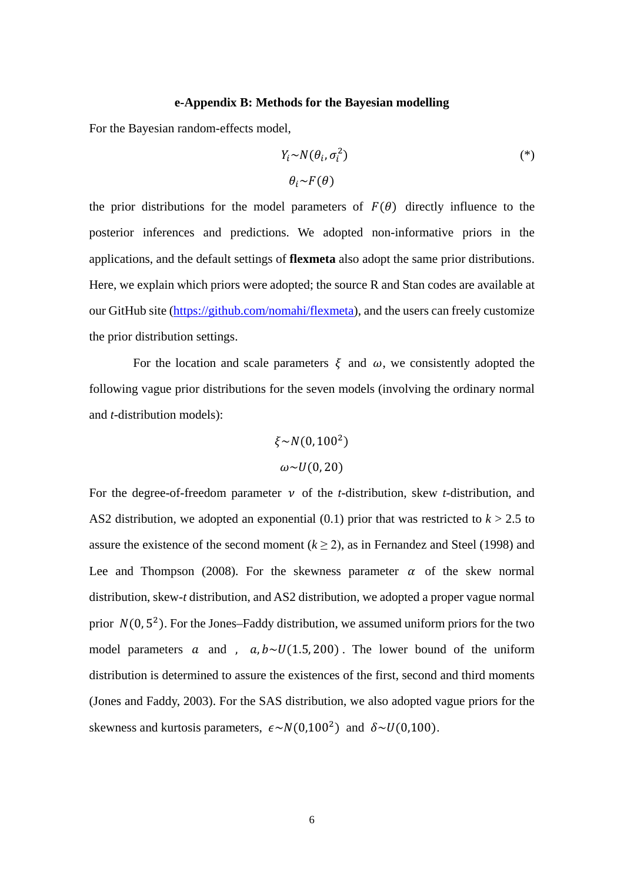#### **e-Appendix B: Methods for the Bayesian modelling**

For the Bayesian random-effects model,

$$
Y_i \sim N(\theta_i, \sigma_i^2) \tag{(*)}
$$

$$
\theta_i \sim F(\theta)
$$

the prior distributions for the model parameters of  $F(\theta)$  directly influence to the posterior inferences and predictions. We adopted non-informative priors in the applications, and the default settings of **flexmeta** also adopt the same prior distributions. Here, we explain which priors were adopted; the source R and Stan codes are available at our GitHub site [\(https://github.com/nomahi/flexmeta\)](https://github.com/nomahi/flexmeta), and the users can freely customize the prior distribution settings.

For the location and scale parameters  $\xi$  and  $\omega$ , we consistently adopted the following vague prior distributions for the seven models (involving the ordinary normal and *t*-distribution models):

$$
\xi \sim N(0, 100^2)
$$

$$
\omega \sim U(0, 20)
$$

For the degree-of-freedom parameter  $\nu$  of the *t*-distribution, skew *t*-distribution, and AS2 distribution, we adopted an exponential  $(0.1)$  prior that was restricted to  $k > 2.5$  to assure the existence of the second moment  $(k \ge 2)$ , as in Fernandez and Steel (1998) and Lee and Thompson (2008). For the skewness parameter  $\alpha$  of the skew normal distribution, skew-*t* distribution, and AS2 distribution, we adopted a proper vague normal prior  $N(0, 5^2)$ . For the Jones–Faddy distribution, we assumed uniform priors for the two model parameters a and ,  $a, b \sim U(1.5, 200)$ . The lower bound of the uniform distribution is determined to assure the existences of the first, second and third moments (Jones and Faddy, 2003). For the SAS distribution, we also adopted vague priors for the skewness and kurtosis parameters,  $\epsilon \sim N(0,100^2)$  and  $\delta \sim U(0,100)$ .